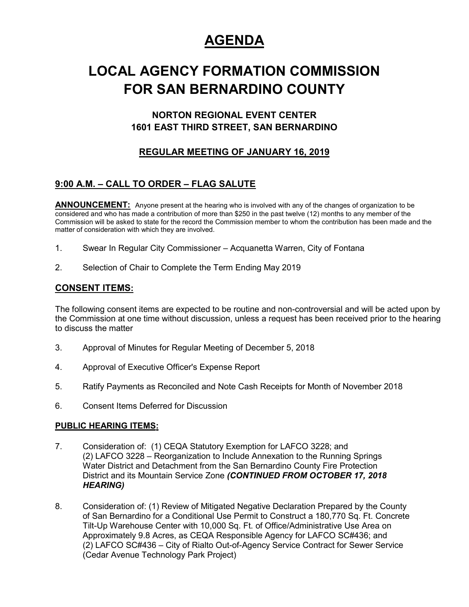# **AGENDA**

# **LOCAL AGENCY FORMATION COMMISSION FOR SAN BERNARDINO COUNTY**

## **NORTON REGIONAL EVENT CENTER 1601 EAST THIRD STREET, SAN BERNARDINO**

## **REGULAR MEETING OF JANUARY 16, 2019**

## **9:00 A.M. – CALL TO ORDER – FLAG SALUTE**

ANNOUNCEMENT: Anyone present at the hearing who is involved with any of the changes of organization to be considered and who has made a contribution of more than \$250 in the past twelve (12) months to any member of the Commission will be asked to state for the record the Commission member to whom the contribution has been made and the matter of consideration with which they are involved.

- 1. Swear In Regular City Commissioner Acquanetta Warren, City of Fontana
- 2. Selection of Chair to Complete the Term Ending May 2019

### **CONSENT ITEMS:**

The following consent items are expected to be routine and non-controversial and will be acted upon by the Commission at one time without discussion, unless a request has been received prior to the hearing to discuss the matter

- 3. Approval of Minutes for Regular Meeting of December 5, 2018
- 4. Approval of Executive Officer's Expense Report
- 5. Ratify Payments as Reconciled and Note Cash Receipts for Month of November 2018
- 6. Consent Items Deferred for Discussion

### **PUBLIC HEARING ITEMS:**

- 7. Consideration of: (1) CEQA Statutory Exemption for LAFCO 3228; and (2) LAFCO 3228 – Reorganization to Include Annexation to the Running Springs Water District and Detachment from the San Bernardino County Fire Protection District and its Mountain Service Zone *(CONTINUED FROM OCTOBER 17, 2018 HEARING)*
- 8. Consideration of: (1) Review of Mitigated Negative Declaration Prepared by the County of San Bernardino for a Conditional Use Permit to Construct a 180,770 Sq. Ft. Concrete Tilt-Up Warehouse Center with 10,000 Sq. Ft. of Office/Administrative Use Area on Approximately 9.8 Acres, as CEQA Responsible Agency for LAFCO SC#436; and (2) LAFCO SC#436 – City of Rialto Out-of-Agency Service Contract for Sewer Service (Cedar Avenue Technology Park Project)